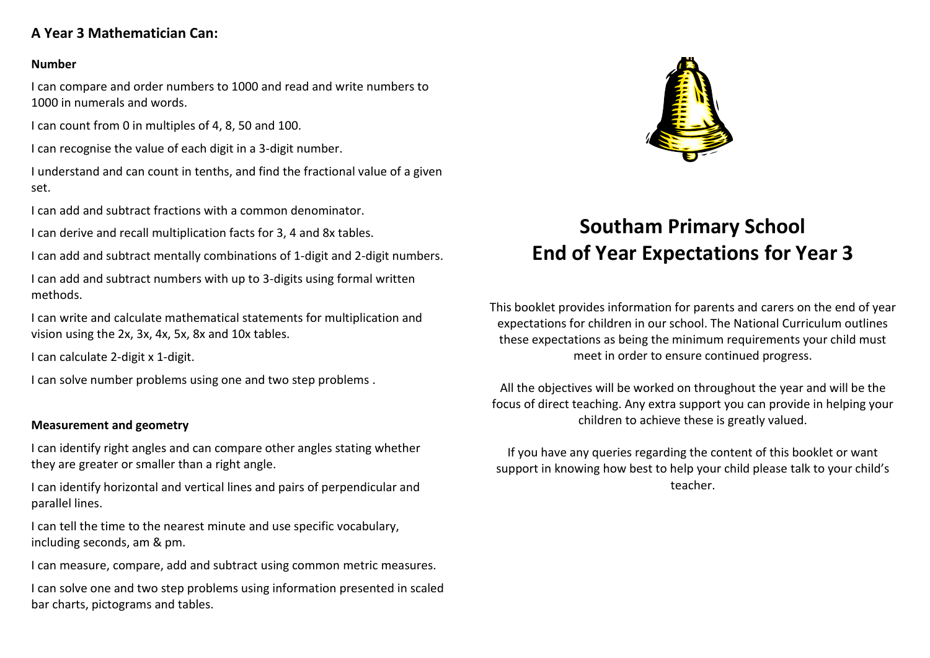# **A Year 3 Mathematician Can:**

### **Number**

I can compare and order numbers to 1000 and read and write numbers to 1000 in numerals and words.

I can count from 0 in multiples of 4, 8, 50 and 100.

I can recognise the value of each digit in a 3-digit number.

I understand and can count in tenths, and find the fractional value of a given set.

I can add and subtract fractions with a common denominator.

I can derive and recall multiplication facts for 3, 4 and 8x tables.

I can add and subtract mentally combinations of 1-digit and 2-digit numbers.

I can add and subtract numbers with up to 3-digits using formal written methods.

I can write and calculate mathematical statements for multiplication and vision using the 2x, 3x, 4x, 5x, 8x and 10x tables.

I can calculate 2-digit x 1-digit.

I can solve number problems using one and two step problems .

## **Measurement and geometry**

I can identify right angles and can compare other angles stating whether they are greater or smaller than a right angle.

I can identify horizontal and vertical lines and pairs of perpendicular and parallel lines.

I can tell the time to the nearest minute and use specific vocabulary, including seconds, am & pm.

I can measure, compare, add and subtract using common metric measures.

I can solve one and two step problems using information presented in scaled bar charts, pictograms and tables.



# **Southam Primary School End of Year Expectations for Year 3**

This booklet provides information for parents and carers on the end of year expectations for children in our school. The National Curriculum outlines these expectations as being the minimum requirements your child must meet in order to ensure continued progress.

All the objectives will be worked on throughout the year and will be the focus of direct teaching. Any extra support you can provide in helping your children to achieve these is greatly valued.

If you have any queries regarding the content of this booklet or want support in knowing how best to help your child please talk to your child's teacher.